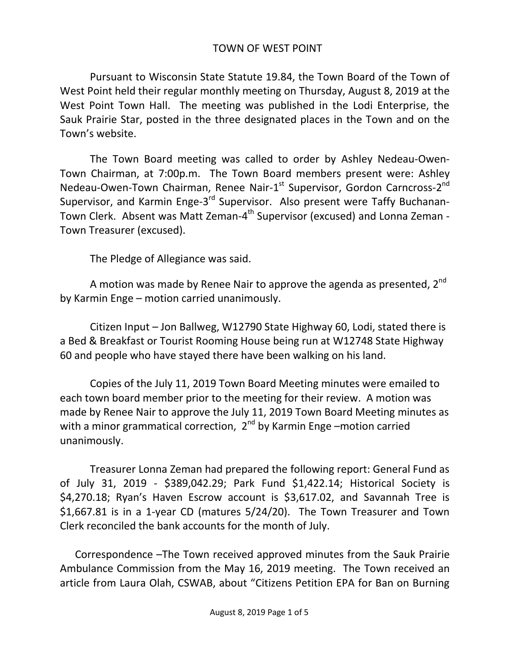## TOWN OF WEST POINT

Pursuant to Wisconsin State Statute 19.84, the Town Board of the Town of West Point held their regular monthly meeting on Thursday, August 8, 2019 at the West Point Town Hall. The meeting was published in the Lodi Enterprise, the Sauk Prairie Star, posted in the three designated places in the Town and on the Town's website.

The Town Board meeting was called to order by Ashley Nedeau-Owen-Town Chairman, at 7:00p.m. The Town Board members present were: Ashley Nedeau-Owen-Town Chairman, Renee Nair-1<sup>st</sup> Supervisor, Gordon Carncross-2<sup>nd</sup> Supervisor, and Karmin Enge-3<sup>rd</sup> Supervisor. Also present were Taffy Buchanan-Town Clerk. Absent was Matt Zeman-4<sup>th</sup> Supervisor (excused) and Lonna Zeman -Town Treasurer (excused).

The Pledge of Allegiance was said.

A motion was made by Renee Nair to approve the agenda as presented, 2<sup>nd</sup> by Karmin Enge – motion carried unanimously.

Citizen Input – Jon Ballweg, W12790 State Highway 60, Lodi, stated there is a Bed & Breakfast or Tourist Rooming House being run at W12748 State Highway 60 and people who have stayed there have been walking on his land.

Copies of the July 11, 2019 Town Board Meeting minutes were emailed to each town board member prior to the meeting for their review. A motion was made by Renee Nair to approve the July 11, 2019 Town Board Meeting minutes as with a minor grammatical correction,  $2^{nd}$  by Karmin Enge –motion carried unanimously.

Treasurer Lonna Zeman had prepared the following report: General Fund as of July 31, 2019 - \$389,042.29; Park Fund \$1,422.14; Historical Society is \$4,270.18; Ryan's Haven Escrow account is \$3,617.02, and Savannah Tree is \$1,667.81 is in a 1-year CD (matures 5/24/20). The Town Treasurer and Town Clerk reconciled the bank accounts for the month of July.

Correspondence –The Town received approved minutes from the Sauk Prairie Ambulance Commission from the May 16, 2019 meeting. The Town received an article from Laura Olah, CSWAB, about "Citizens Petition EPA for Ban on Burning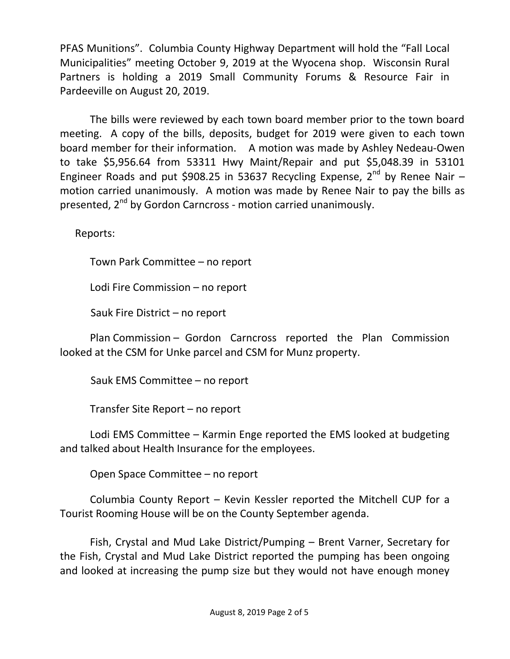PFAS Munitions". Columbia County Highway Department will hold the "Fall Local Municipalities" meeting October 9, 2019 at the Wyocena shop. Wisconsin Rural Partners is holding a 2019 Small Community Forums & Resource Fair in Pardeeville on August 20, 2019.

The bills were reviewed by each town board member prior to the town board meeting. A copy of the bills, deposits, budget for 2019 were given to each town board member for their information. A motion was made by Ashley Nedeau-Owen to take \$5,956.64 from 53311 Hwy Maint/Repair and put \$5,048.39 in 53101 Engineer Roads and put \$908.25 in 53637 Recycling Expense,  $2^{nd}$  by Renee Nair – motion carried unanimously. A motion was made by Renee Nair to pay the bills as presented, 2<sup>nd</sup> by Gordon Carncross - motion carried unanimously.

Reports:

Town Park Committee – no report

Lodi Fire Commission – no report

Sauk Fire District – no report

Plan Commission – Gordon Carncross reported the Plan Commission looked at the CSM for Unke parcel and CSM for Munz property.

Sauk EMS Committee – no report

Transfer Site Report – no report

Lodi EMS Committee – Karmin Enge reported the EMS looked at budgeting and talked about Health Insurance for the employees.

Open Space Committee – no report

Columbia County Report – Kevin Kessler reported the Mitchell CUP for a Tourist Rooming House will be on the County September agenda.

Fish, Crystal and Mud Lake District/Pumping – Brent Varner, Secretary for the Fish, Crystal and Mud Lake District reported the pumping has been ongoing and looked at increasing the pump size but they would not have enough money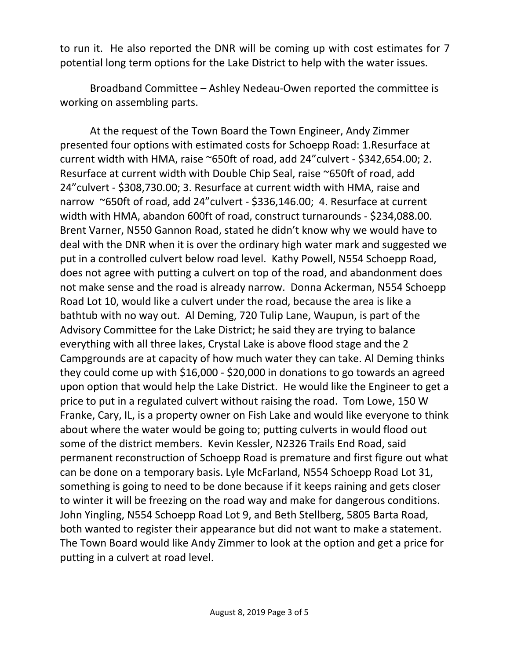to run it. He also reported the DNR will be coming up with cost estimates for 7 potential long term options for the Lake District to help with the water issues.

Broadband Committee – Ashley Nedeau-Owen reported the committee is working on assembling parts.

At the request of the Town Board the Town Engineer, Andy Zimmer presented four options with estimated costs for Schoepp Road: 1.Resurface at current width with HMA, raise ~650ft of road, add 24"culvert - \$342,654.00; 2. Resurface at current width with Double Chip Seal, raise ~650ft of road, add 24"culvert - \$308,730.00; 3. Resurface at current width with HMA, raise and narrow ~650ft of road, add 24"culvert - \$336,146.00; 4. Resurface at current width with HMA, abandon 600ft of road, construct turnarounds - \$234,088.00. Brent Varner, N550 Gannon Road, stated he didn't know why we would have to deal with the DNR when it is over the ordinary high water mark and suggested we put in a controlled culvert below road level. Kathy Powell, N554 Schoepp Road, does not agree with putting a culvert on top of the road, and abandonment does not make sense and the road is already narrow. Donna Ackerman, N554 Schoepp Road Lot 10, would like a culvert under the road, because the area is like a bathtub with no way out. Al Deming, 720 Tulip Lane, Waupun, is part of the Advisory Committee for the Lake District; he said they are trying to balance everything with all three lakes, Crystal Lake is above flood stage and the 2 Campgrounds are at capacity of how much water they can take. Al Deming thinks they could come up with \$16,000 - \$20,000 in donations to go towards an agreed upon option that would help the Lake District. He would like the Engineer to get a price to put in a regulated culvert without raising the road. Tom Lowe, 150 W Franke, Cary, IL, is a property owner on Fish Lake and would like everyone to think about where the water would be going to; putting culverts in would flood out some of the district members. Kevin Kessler, N2326 Trails End Road, said permanent reconstruction of Schoepp Road is premature and first figure out what can be done on a temporary basis. Lyle McFarland, N554 Schoepp Road Lot 31, something is going to need to be done because if it keeps raining and gets closer to winter it will be freezing on the road way and make for dangerous conditions. John Yingling, N554 Schoepp Road Lot 9, and Beth Stellberg, 5805 Barta Road, both wanted to register their appearance but did not want to make a statement. The Town Board would like Andy Zimmer to look at the option and get a price for putting in a culvert at road level.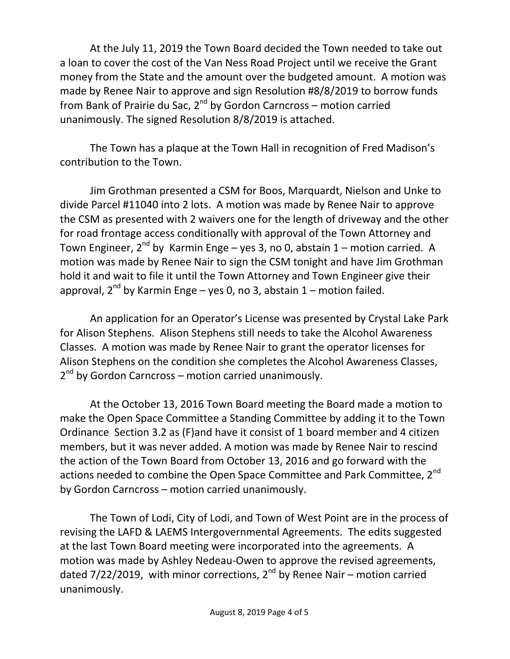At the July 11, 2019 the Town Board decided the Town needed to take out a loan to cover the cost of the Van Ness Road Project until we receive the Grant money from the State and the amount over the budgeted amount. A motion was made by Renee Nair to approve and sign Resolution #8/8/2019 to borrow funds from Bank of Prairie du Sac,  $2^{nd}$  by Gordon Carncross – motion carried unanimously. The signed Resolution 8/8/2019 is attached.

The Town has a plaque at the Town Hall in recognition of Fred Madison's contribution to the Town.

Jim Grothman presented a CSM for Boos, Marquardt, Nielson and Unke to divide Parcel #11040 into 2 lots. A motion was made by Renee Nair to approve the CSM as presented with 2 waivers one for the length of driveway and the other for road frontage access conditionally with approval of the Town Attorney and Town Engineer,  $2^{nd}$  by Karmin Enge – yes 3, no 0, abstain 1 – motion carried. A motion was made by Renee Nair to sign the CSM tonight and have Jim Grothman hold it and wait to file it until the Town Attorney and Town Engineer give their approval,  $2^{nd}$  by Karmin Enge – yes 0, no 3, abstain 1 – motion failed.

An application for an Operator's License was presented by Crystal Lake Park for Alison Stephens. Alison Stephens still needs to take the Alcohol Awareness Classes. A motion was made by Renee Nair to grant the operator licenses for Alison Stephens on the condition she completes the Alcohol Awareness Classes, 2<sup>nd</sup> by Gordon Carncross – motion carried unanimously.

At the October 13, 2016 Town Board meeting the Board made a motion to make the Open Space Committee a Standing Committee by adding it to the Town Ordinance Section 3.2 as (F)and have it consist of 1 board member and 4 citizen members, but it was never added. A motion was made by Renee Nair to rescind the action of the Town Board from October 13, 2016 and go forward with the actions needed to combine the Open Space Committee and Park Committee, 2<sup>nd</sup> by Gordon Carncross – motion carried unanimously.

The Town of Lodi, City of Lodi, and Town of West Point are in the process of revising the LAFD & LAEMS Intergovernmental Agreements. The edits suggested at the last Town Board meeting were incorporated into the agreements. A motion was made by Ashley Nedeau-Owen to approve the revised agreements, dated  $7/22/2019$ , with minor corrections,  $2^{nd}$  by Renee Nair – motion carried unanimously.